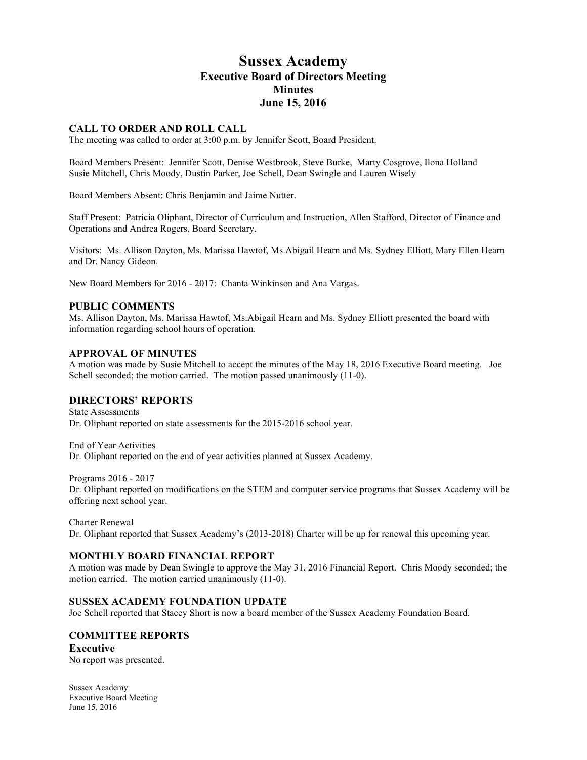# **Sussex Academy Executive Board of Directors Meeting Minutes June 15, 2016**

# **CALL TO ORDER AND ROLL CALL**

The meeting was called to order at 3:00 p.m. by Jennifer Scott, Board President.

Board Members Present: Jennifer Scott, Denise Westbrook, Steve Burke, Marty Cosgrove, Ilona Holland Susie Mitchell, Chris Moody, Dustin Parker, Joe Schell, Dean Swingle and Lauren Wisely

Board Members Absent: Chris Benjamin and Jaime Nutter.

Staff Present: Patricia Oliphant, Director of Curriculum and Instruction, Allen Stafford, Director of Finance and Operations and Andrea Rogers, Board Secretary.

Visitors: Ms. Allison Dayton, Ms. Marissa Hawtof, Ms.Abigail Hearn and Ms. Sydney Elliott, Mary Ellen Hearn and Dr. Nancy Gideon.

New Board Members for 2016 - 2017: Chanta Winkinson and Ana Vargas.

### **PUBLIC COMMENTS**

Ms. Allison Dayton, Ms. Marissa Hawtof, Ms.Abigail Hearn and Ms. Sydney Elliott presented the board with information regarding school hours of operation.

## **APPROVAL OF MINUTES**

A motion was made by Susie Mitchell to accept the minutes of the May 18, 2016 Executive Board meeting. Joe Schell seconded; the motion carried. The motion passed unanimously  $(11-0)$ .

# **DIRECTORS' REPORTS**

State Assessments Dr. Oliphant reported on state assessments for the 2015-2016 school year.

End of Year Activities Dr. Oliphant reported on the end of year activities planned at Sussex Academy.

Programs 2016 - 2017

Dr. Oliphant reported on modifications on the STEM and computer service programs that Sussex Academy will be offering next school year.

Charter Renewal

Dr. Oliphant reported that Sussex Academy's (2013-2018) Charter will be up for renewal this upcoming year.

### **MONTHLY BOARD FINANCIAL REPORT**

A motion was made by Dean Swingle to approve the May 31, 2016 Financial Report. Chris Moody seconded; the motion carried. The motion carried unanimously (11-0).

## **SUSSEX ACADEMY FOUNDATION UPDATE**

Joe Schell reported that Stacey Short is now a board member of the Sussex Academy Foundation Board.

## **COMMITTEE REPORTS**

**Executive** No report was presented.

Sussex Academy Executive Board Meeting June 15, 2016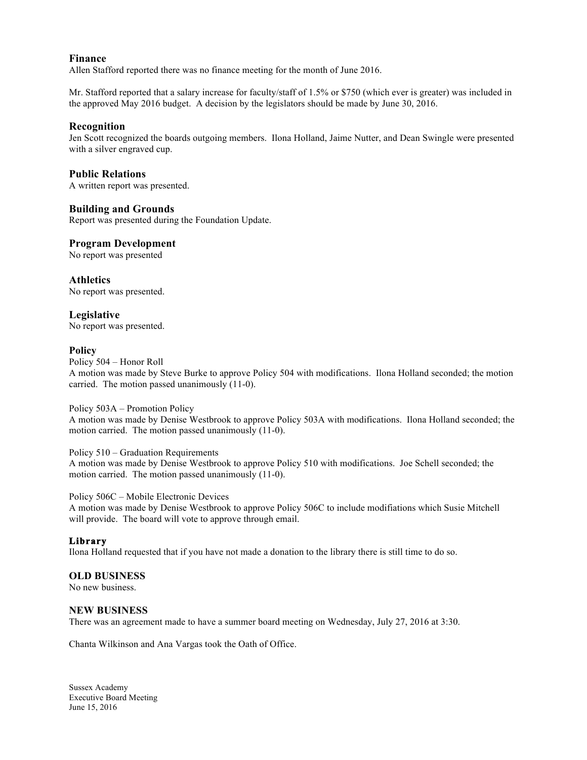## **Finance**

Allen Stafford reported there was no finance meeting for the month of June 2016.

Mr. Stafford reported that a salary increase for faculty/staff of 1.5% or \$750 (which ever is greater) was included in the approved May 2016 budget. A decision by the legislators should be made by June 30, 2016.

## **Recognition**

Jen Scott recognized the boards outgoing members. Ilona Holland, Jaime Nutter, and Dean Swingle were presented with a silver engraved cup.

## **Public Relations**

A written report was presented.

## **Building and Grounds**

Report was presented during the Foundation Update.

## **Program Development**

No report was presented

**Athletics** No report was presented.

# **Legislative**

No report was presented.

### **Policy**

Policy 504 – Honor Roll

A motion was made by Steve Burke to approve Policy 504 with modifications. Ilona Holland seconded; the motion carried. The motion passed unanimously (11-0).

### Policy 503A – Promotion Policy

A motion was made by Denise Westbrook to approve Policy 503A with modifications. Ilona Holland seconded; the motion carried. The motion passed unanimously (11-0).

### Policy 510 – Graduation Requirements

A motion was made by Denise Westbrook to approve Policy 510 with modifications. Joe Schell seconded; the motion carried. The motion passed unanimously (11-0).

### Policy 506C – Mobile Electronic Devices

A motion was made by Denise Westbrook to approve Policy 506C to include modifiations which Susie Mitchell will provide. The board will vote to approve through email.

## **Library**

Ilona Holland requested that if you have not made a donation to the library there is still time to do so.

# **OLD BUSINESS**

No new business.

### **NEW BUSINESS**

There was an agreement made to have a summer board meeting on Wednesday, July 27, 2016 at 3:30.

Chanta Wilkinson and Ana Vargas took the Oath of Office.

Sussex Academy Executive Board Meeting June 15, 2016